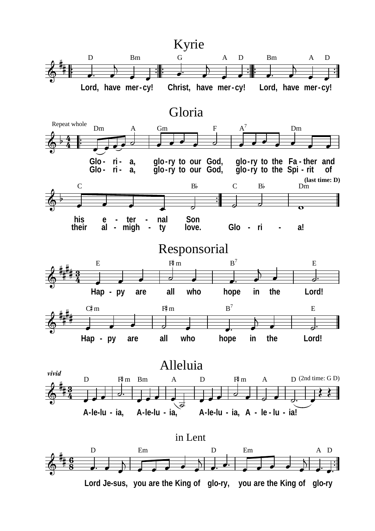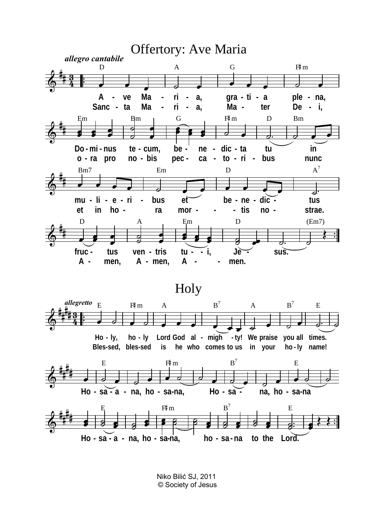

Niko Bilić SJ, 2011 © Society of Jesus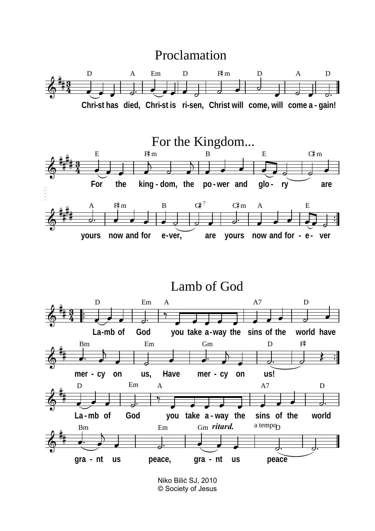



Niko Bilić SJ, 2010 © Society of Jesus